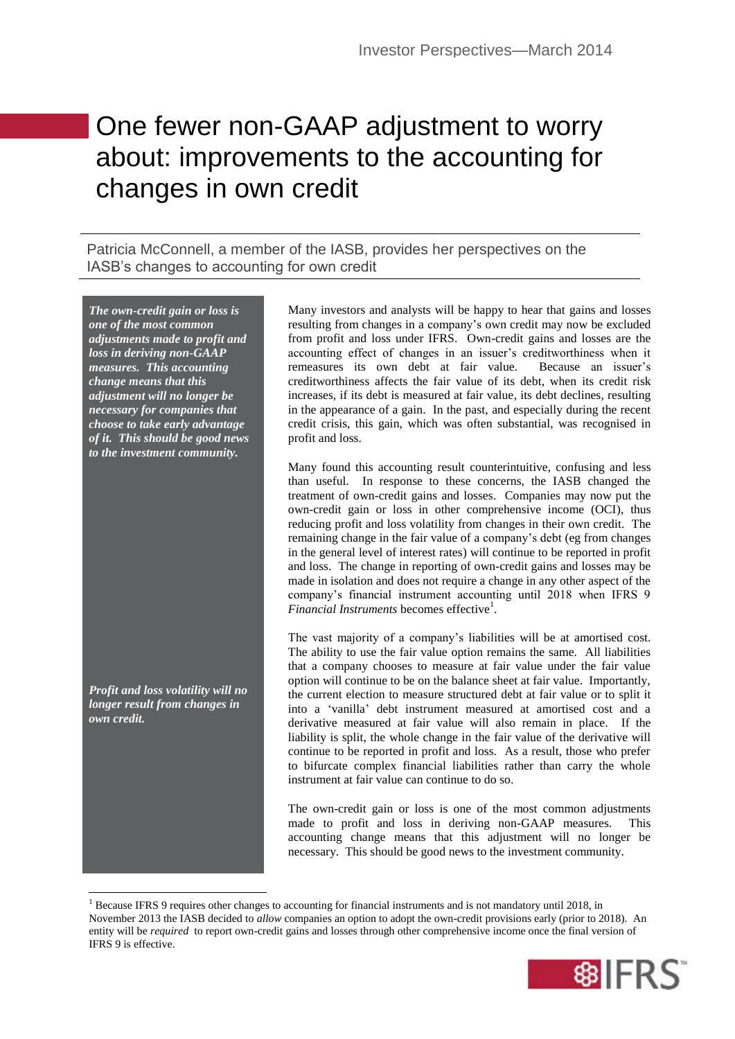## One fewer non-GAAP adjustment to worry about: improvements to the accounting for changes in own credit

Patricia McConnell, a member of the IASB, provides her perspectives on the IASB's changes to accounting for own credit

*The own-credit gain or loss is one of the most common adjustments made to profit and loss in deriving non-GAAP measures. This accounting change means that this adjustment will no longer be necessary for companies that choose to take early advantage of it. This should be good news to the investment community.*

*Profit and loss volatility will no longer result from changes in own credit.*

**.** 

Many investors and analysts will be happy to hear that gains and losses resulting from changes in a company's own credit may now be excluded from profit and loss under IFRS. Own-credit gains and losses are the accounting effect of changes in an issuer's creditworthiness when it remeasures its own debt at fair value. Because an issuer's creditworthiness affects the fair value of its debt, when its credit risk increases, if its debt is measured at fair value, its debt declines, resulting in the appearance of a gain. In the past, and especially during the recent credit crisis, this gain, which was often substantial, was recognised in profit and loss.

Many found this accounting result counterintuitive, confusing and less than useful. In response to these concerns, the IASB changed the treatment of own-credit gains and losses. Companies may now put the own-credit gain or loss in other comprehensive income (OCI), thus reducing profit and loss volatility from changes in their own credit. The remaining change in the fair value of a company's debt (eg from changes in the general level of interest rates) will continue to be reported in profit and loss. The change in reporting of own-credit gains and losses may be made in isolation and does not require a change in any other aspect of the company's financial instrument accounting until 2018 when IFRS 9 Financial Instruments becomes effective<sup>1</sup>.

The vast majority of a company's liabilities will be at amortised cost. The ability to use the fair value option remains the same. All liabilities that a company chooses to measure at fair value under the fair value option will continue to be on the balance sheet at fair value. Importantly, the current election to measure structured debt at fair value or to split it into a 'vanilla' debt instrument measured at amortised cost and a derivative measured at fair value will also remain in place. If the liability is split, the whole change in the fair value of the derivative will continue to be reported in profit and loss. As a result, those who prefer to bifurcate complex financial liabilities rather than carry the whole instrument at fair value can continue to do so.

The own-credit gain or loss is one of the most common adjustments made to profit and loss in deriving non-GAAP measures. This accounting change means that this adjustment will no longer be necessary. This should be good news to the investment community.

<sup>&</sup>lt;sup>1</sup> Because IFRS 9 requires other changes to accounting for financial instruments and is not mandatory until 2018, in November 2013 the IASB decided to *allow* companies an option to adopt the own-credit provisions early (prior to 2018). An entity will be *required* to report own-credit gains and losses through other comprehensive income once the final version of IFRS 9 is effective.